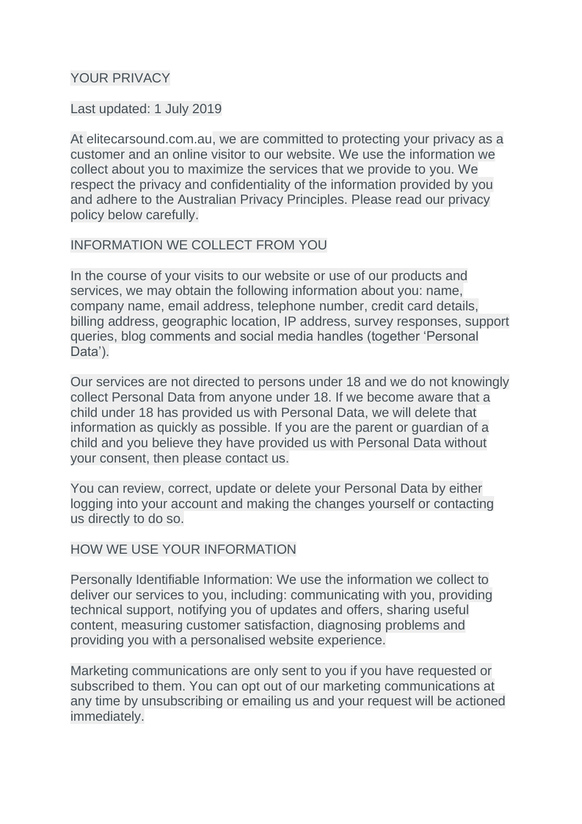# YOUR PRIVACY

#### Last updated: 1 July 2019

At elitecarsound.com.au, we are committed to protecting your privacy as a customer and an online visitor to our website. We use the information we collect about you to maximize the services that we provide to you. We respect the privacy and confidentiality of the information provided by you and adhere to the Australian Privacy Principles. Please read our privacy policy below carefully.

## INFORMATION WE COLLECT FROM YOU

In the course of your visits to our website or use of our products and services, we may obtain the following information about you: name, company name, email address, telephone number, credit card details, billing address, geographic location, IP address, survey responses, support queries, blog comments and social media handles (together 'Personal Data').

Our services are not directed to persons under 18 and we do not knowingly collect Personal Data from anyone under 18. If we become aware that a child under 18 has provided us with Personal Data, we will delete that information as quickly as possible. If you are the parent or guardian of a child and you believe they have provided us with Personal Data without your consent, then please contact us.

You can review, correct, update or delete your Personal Data by either logging into your account and making the changes yourself or contacting us directly to do so.

## HOW WE USE YOUR INFORMATION

Personally Identifiable Information: We use the information we collect to deliver our services to you, including: communicating with you, providing technical support, notifying you of updates and offers, sharing useful content, measuring customer satisfaction, diagnosing problems and providing you with a personalised website experience.

Marketing communications are only sent to you if you have requested or subscribed to them. You can opt out of our marketing communications at any time by unsubscribing or emailing us and your request will be actioned immediately.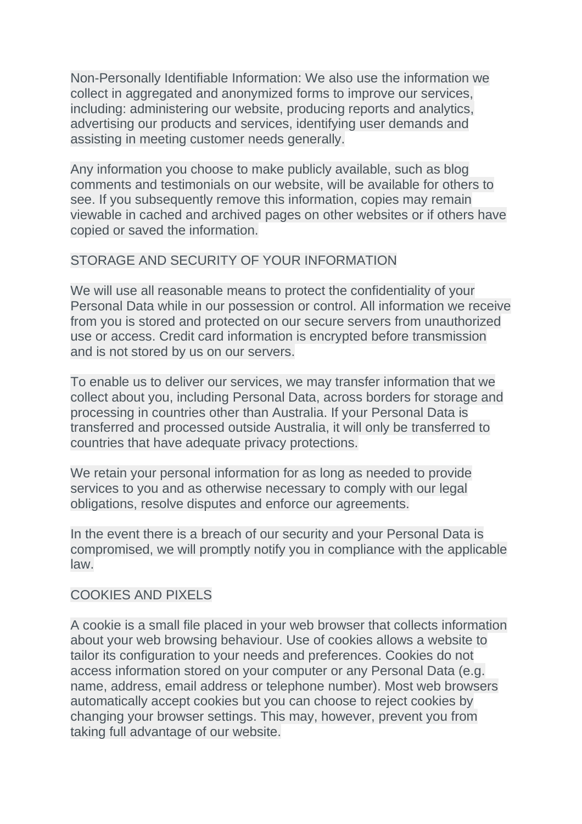Non-Personally Identifiable Information: We also use the information we collect in aggregated and anonymized forms to improve our services, including: administering our website, producing reports and analytics, advertising our products and services, identifying user demands and assisting in meeting customer needs generally.

Any information you choose to make publicly available, such as blog comments and testimonials on our website, will be available for others to see. If you subsequently remove this information, copies may remain viewable in cached and archived pages on other websites or if others have copied or saved the information.

# STORAGE AND SECURITY OF YOUR INFORMATION

We will use all reasonable means to protect the confidentiality of your Personal Data while in our possession or control. All information we receive from you is stored and protected on our secure servers from unauthorized use or access. Credit card information is encrypted before transmission and is not stored by us on our servers.

To enable us to deliver our services, we may transfer information that we collect about you, including Personal Data, across borders for storage and processing in countries other than Australia. If your Personal Data is transferred and processed outside Australia, it will only be transferred to countries that have adequate privacy protections.

We retain your personal information for as long as needed to provide services to you and as otherwise necessary to comply with our legal obligations, resolve disputes and enforce our agreements.

In the event there is a breach of our security and your Personal Data is compromised, we will promptly notify you in compliance with the applicable law.

# COOKIES AND PIXELS

A cookie is a small file placed in your web browser that collects information about your web browsing behaviour. Use of cookies allows a website to tailor its configuration to your needs and preferences. Cookies do not access information stored on your computer or any Personal Data (e.g. name, address, email address or telephone number). Most web browsers automatically accept cookies but you can choose to reject cookies by changing your browser settings. This may, however, prevent you from taking full advantage of our website.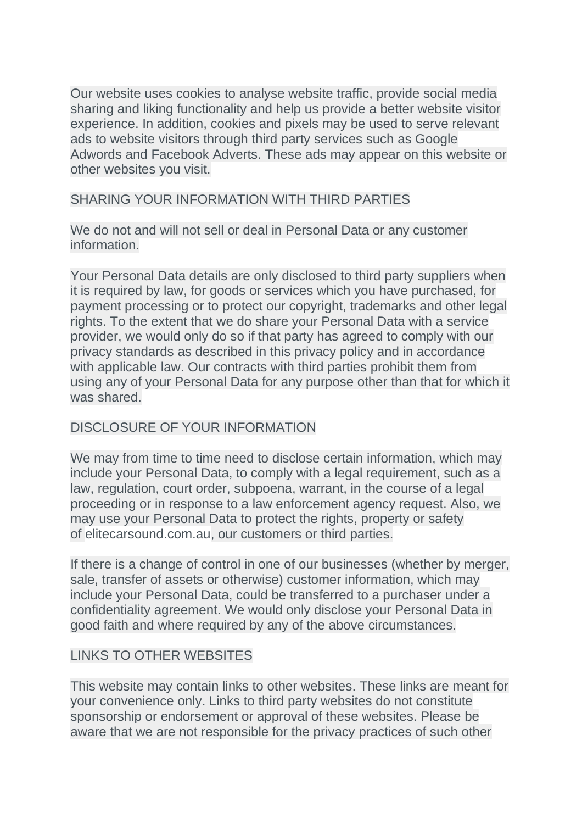Our website uses cookies to analyse website traffic, provide social media sharing and liking functionality and help us provide a better website visitor experience. In addition, cookies and pixels may be used to serve relevant ads to website visitors through third party services such as Google Adwords and Facebook Adverts. These ads may appear on this website or other websites you visit.

# SHARING YOUR INFORMATION WITH THIRD PARTIES

We do not and will not sell or deal in Personal Data or any customer information.

Your Personal Data details are only disclosed to third party suppliers when it is required by law, for goods or services which you have purchased, for payment processing or to protect our copyright, trademarks and other legal rights. To the extent that we do share your Personal Data with a service provider, we would only do so if that party has agreed to comply with our privacy standards as described in this privacy policy and in accordance with applicable law. Our contracts with third parties prohibit them from using any of your Personal Data for any purpose other than that for which it was shared.

## DISCLOSURE OF YOUR INFORMATION

We may from time to time need to disclose certain information, which may include your Personal Data, to comply with a legal requirement, such as a law, regulation, court order, subpoena, warrant, in the course of a legal proceeding or in response to a law enforcement agency request. Also, we may use your Personal Data to protect the rights, property or safety of elitecarsound.com.au, our customers or third parties.

If there is a change of control in one of our businesses (whether by merger, sale, transfer of assets or otherwise) customer information, which may include your Personal Data, could be transferred to a purchaser under a confidentiality agreement. We would only disclose your Personal Data in good faith and where required by any of the above circumstances.

# LINKS TO OTHER WEBSITES

This website may contain links to other websites. These links are meant for your convenience only. Links to third party websites do not constitute sponsorship or endorsement or approval of these websites. Please be aware that we are not responsible for the privacy practices of such other